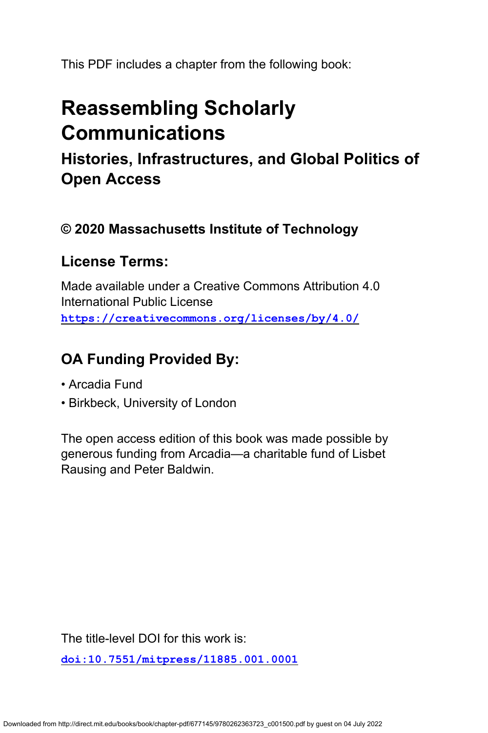This PDF includes a chapter from the following book:

# **Reassembling Scholarly Communications**

**Histories, Infrastructures, and Global Politics of Open Access**

### **© 2020 Massachusetts Institute of Technology**

### **License Terms:**

Made available under a Creative Commons Attribution 4.0 International Public License **<https://creativecommons.org/licenses/by/4.0/>**

## **OA Funding Provided By:**

- Arcadia Fund
- Birkbeck, University of London

The open access edition of this book was made possible by generous funding from Arcadia—a charitable fund of Lisbet Rausing and Peter Baldwin.

The title-level DOI for this work is:

**[doi:10.7551/mitpress/11885.001.0001](https://doi.org/10.7551/mitpress/11885.001.0001)**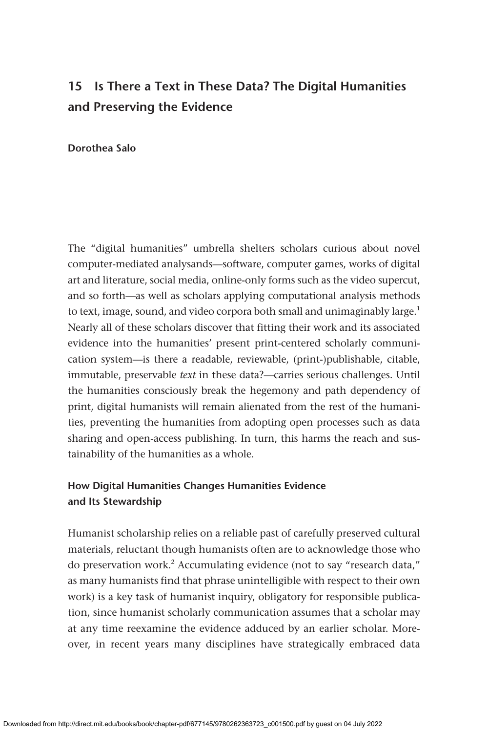### **15 Is There a Text in These Data? The Digital Humanities and Preserving the Evidence**

#### **Dorothea Salo**

The "digital humanities" umbrella shelters scholars curious about novel computer-mediated analysands—software, computer games, works of digital art and literature, social media, online-only forms such as the video supercut, and so forth—as well as scholars applying computational analysis methods to text, image, sound, and video corpora both small and unimaginably large.<sup>1</sup> Nearly all of these scholars discover that fitting their work and its associated evidence into the humanities' present print-centered scholarly communication system—is there a readable, reviewable, (print-)publishable, citable, immutable, preservable *text* in these data?—carries serious challenges. Until the humanities consciously break the hegemony and path dependency of print, digital humanists will remain alienated from the rest of the humanities, preventing the humanities from adopting open processes such as data sharing and open-access publishing. In turn, this harms the reach and sustainability of the humanities as a whole.

### **How Digital Humanities Changes Humanities Evidence and Its Stewardship**

Humanist scholarship relies on a reliable past of carefully preserved cultural materials, reluctant though humanists often are to acknowledge those who do preservation work.<sup>2</sup> Accumulating evidence (not to say "research data," as many humanists find that phrase unintelligible with respect to their own work) is a key task of humanist inquiry, obligatory for responsible publication, since humanist scholarly communication assumes that a scholar may at any time reexamine the evidence adduced by an earlier scholar. Moreover, in recent years many disciplines have strategically embraced data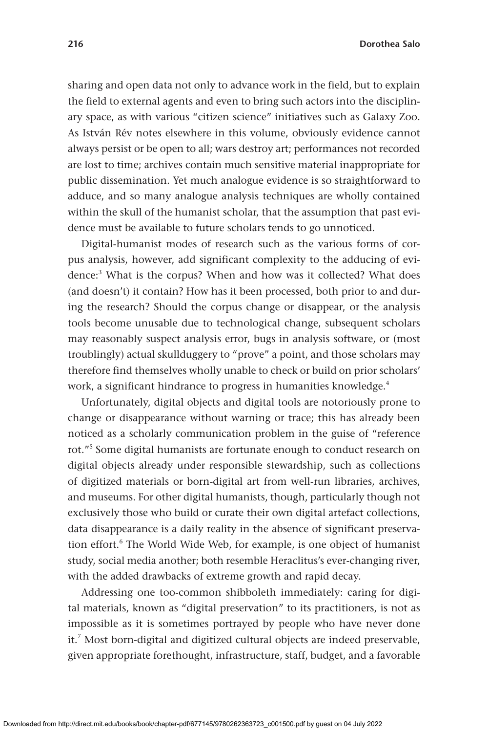sharing and open data not only to advance work in the field, but to explain the field to external agents and even to bring such actors into the disciplinary space, as with various "citizen science" initiatives such as Galaxy Zoo. As István Rév notes elsewhere in this volume, obviously evidence cannot always persist or be open to all; wars destroy art; performances not recorded are lost to time; archives contain much sensitive material inappropriate for public dissemination. Yet much analogue evidence is so straightforward to adduce, and so many analogue analysis techniques are wholly contained within the skull of the humanist scholar, that the assumption that past evidence must be available to future scholars tends to go unnoticed.

Digital-humanist modes of research such as the various forms of corpus analysis, however, add significant complexity to the adducing of evidence:<sup>3</sup> What is the corpus? When and how was it collected? What does (and doesn't) it contain? How has it been processed, both prior to and during the research? Should the corpus change or disappear, or the analysis tools become unusable due to technological change, subsequent scholars may reasonably suspect analysis error, bugs in analysis software, or (most troublingly) actual skullduggery to "prove" a point, and those scholars may therefore find themselves wholly unable to check or build on prior scholars' work, a significant hindrance to progress in humanities knowledge.<sup>4</sup>

Unfortunately, digital objects and digital tools are notoriously prone to change or disappearance without warning or trace; this has already been noticed as a scholarly communication problem in the guise of "reference rot."5 Some digital humanists are fortunate enough to conduct research on digital objects already under responsible stewardship, such as collections of digitized materials or born-digital art from well-run libraries, archives, and museums. For other digital humanists, though, particularly though not exclusively those who build or curate their own digital artefact collections, data disappearance is a daily reality in the absence of significant preservation effort.<sup>6</sup> The World Wide Web, for example, is one object of humanist study, social media another; both resemble Heraclitus's ever-changing river, with the added drawbacks of extreme growth and rapid decay.

Addressing one too-common shibboleth immediately: caring for digital materials, known as "digital preservation" to its practitioners, is not as impossible as it is sometimes portrayed by people who have never done it.<sup>7</sup> Most born-digital and digitized cultural objects are indeed preservable, given appropriate forethought, infrastructure, staff, budget, and a favorable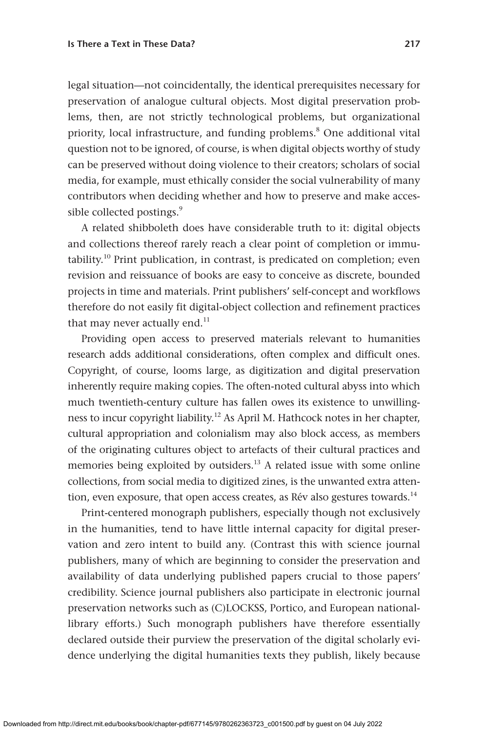legal situation—not coincidentally, the identical prerequisites necessary for preservation of analogue cultural objects. Most digital preservation problems, then, are not strictly technological problems, but organizational priority, local infrastructure, and funding problems.<sup>8</sup> One additional vital question not to be ignored, of course, is when digital objects worthy of study can be preserved without doing violence to their creators; scholars of social media, for example, must ethically consider the social vulnerability of many contributors when deciding whether and how to preserve and make accessible collected postings.<sup>9</sup>

A related shibboleth does have considerable truth to it: digital objects and collections thereof rarely reach a clear point of completion or immutability.10 Print publication, in contrast, is predicated on completion; even revision and reissuance of books are easy to conceive as discrete, bounded projects in time and materials. Print publishers' self-concept and workflows therefore do not easily fit digital-object collection and refinement practices that may never actually end. $11$ 

Providing open access to preserved materials relevant to humanities research adds additional considerations, often complex and difficult ones. Copyright, of course, looms large, as digitization and digital preservation inherently require making copies. The often-noted cultural abyss into which much twentieth-century culture has fallen owes its existence to unwillingness to incur copyright liability.12 As April M. Hathcock notes in her chapter, cultural appropriation and colonialism may also block access, as members of the originating cultures object to artefacts of their cultural practices and memories being exploited by outsiders. $^{13}$  A related issue with some online collections, from social media to digitized zines, is the unwanted extra attention, even exposure, that open access creates, as Rév also gestures towards.<sup>14</sup>

Print-centered monograph publishers, especially though not exclusively in the humanities, tend to have little internal capacity for digital preservation and zero intent to build any. (Contrast this with science journal publishers, many of which are beginning to consider the preservation and availability of data underlying published papers crucial to those papers' credibility. Science journal publishers also participate in electronic journal preservation networks such as (C)LOCKSS, Portico, and European nationallibrary efforts.) Such monograph publishers have therefore essentially declared outside their purview the preservation of the digital scholarly evidence underlying the digital humanities texts they publish, likely because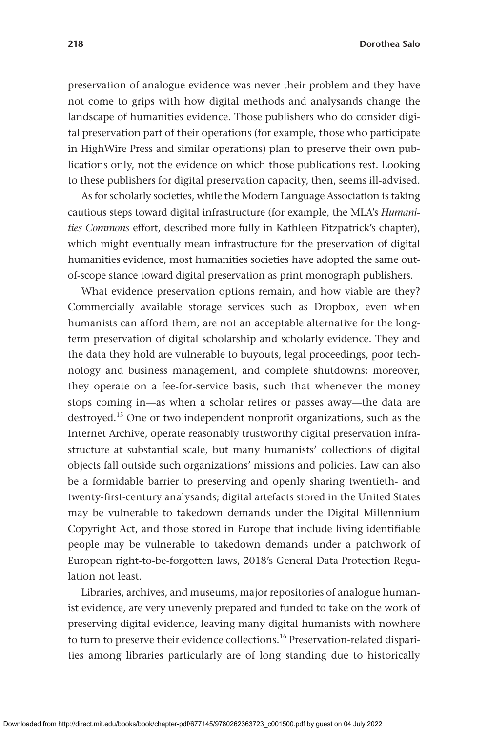preservation of analogue evidence was never their problem and they have not come to grips with how digital methods and analysands change the landscape of humanities evidence. Those publishers who do consider digital preservation part of their operations (for example, those who participate in HighWire Press and similar operations) plan to preserve their own publications only, not the evidence on which those publications rest. Looking to these publishers for digital preservation capacity, then, seems ill-advised.

As for scholarly societies, while the Modern Language Association is taking cautious steps toward digital infrastructure (for example, the MLA's *Humanities Commons* effort, described more fully in Kathleen Fitzpatrick's chapter), which might eventually mean infrastructure for the preservation of digital humanities evidence, most humanities societies have adopted the same outof-scope stance toward digital preservation as print monograph publishers.

What evidence preservation options remain, and how viable are they? Commercially available storage services such as Dropbox, even when humanists can afford them, are not an acceptable alternative for the longterm preservation of digital scholarship and scholarly evidence. They and the data they hold are vulnerable to buyouts, legal proceedings, poor technology and business management, and complete shutdowns; moreover, they operate on a fee-for-service basis, such that whenever the money stops coming in—as when a scholar retires or passes away—the data are destroyed.15 One or two independent nonprofit organizations, such as the Internet Archive, operate reasonably trustworthy digital preservation infrastructure at substantial scale, but many humanists' collections of digital objects fall outside such organizations' missions and policies. Law can also be a formidable barrier to preserving and openly sharing twentieth- and twenty-first-century analysands; digital artefacts stored in the United States may be vulnerable to takedown demands under the Digital Millennium Copyright Act, and those stored in Europe that include living identifiable people may be vulnerable to takedown demands under a patchwork of European right-to-be-forgotten laws, 2018's General Data Protection Regulation not least.

Libraries, archives, and museums, major repositories of analogue humanist evidence, are very unevenly prepared and funded to take on the work of preserving digital evidence, leaving many digital humanists with nowhere to turn to preserve their evidence collections.16 Preservation-related disparities among libraries particularly are of long standing due to historically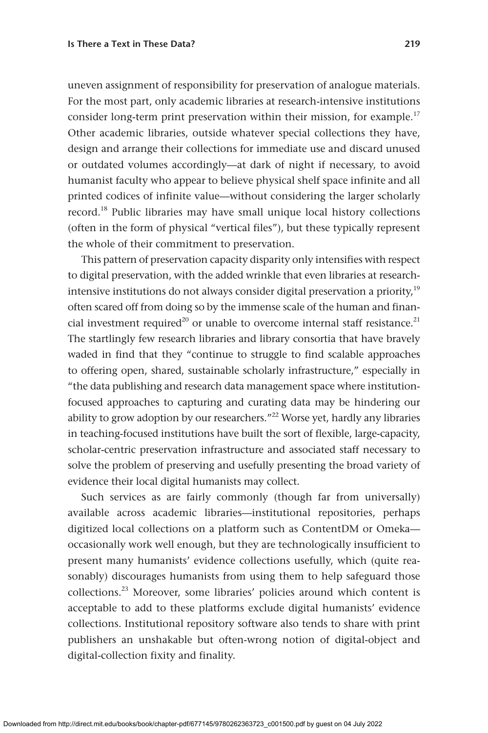uneven assignment of responsibility for preservation of analogue materials. For the most part, only academic libraries at research-intensive institutions consider long-term print preservation within their mission, for example.<sup>17</sup> Other academic libraries, outside whatever special collections they have, design and arrange their collections for immediate use and discard unused or outdated volumes accordingly—at dark of night if necessary, to avoid humanist faculty who appear to believe physical shelf space infinite and all printed codices of infinite value—without considering the larger scholarly record.18 Public libraries may have small unique local history collections (often in the form of physical "vertical files"), but these typically represent the whole of their commitment to preservation.

This pattern of preservation capacity disparity only intensifies with respect to digital preservation, with the added wrinkle that even libraries at researchintensive institutions do not always consider digital preservation a priority,<sup>19</sup> often scared off from doing so by the immense scale of the human and financial investment required<sup>20</sup> or unable to overcome internal staff resistance.<sup>21</sup> The startlingly few research libraries and library consortia that have bravely waded in find that they "continue to struggle to find scalable approaches to offering open, shared, sustainable scholarly infrastructure," especially in "the data publishing and research data management space where institutionfocused approaches to capturing and curating data may be hindering our ability to grow adoption by our researchers." $^{22}$  Worse yet, hardly any libraries in teaching-focused institutions have built the sort of flexible, large-capacity, scholar-centric preservation infrastructure and associated staff necessary to solve the problem of preserving and usefully presenting the broad variety of evidence their local digital humanists may collect.

Such services as are fairly commonly (though far from universally) available across academic libraries—institutional repositories, perhaps digitized local collections on a platform such as ContentDM or Omeka occasionally work well enough, but they are technologically insufficient to present many humanists' evidence collections usefully, which (quite reasonably) discourages humanists from using them to help safeguard those collections.23 Moreover, some libraries' policies around which content is acceptable to add to these platforms exclude digital humanists' evidence collections. Institutional repository software also tends to share with print publishers an unshakable but often-wrong notion of digital-object and digital-collection fixity and finality.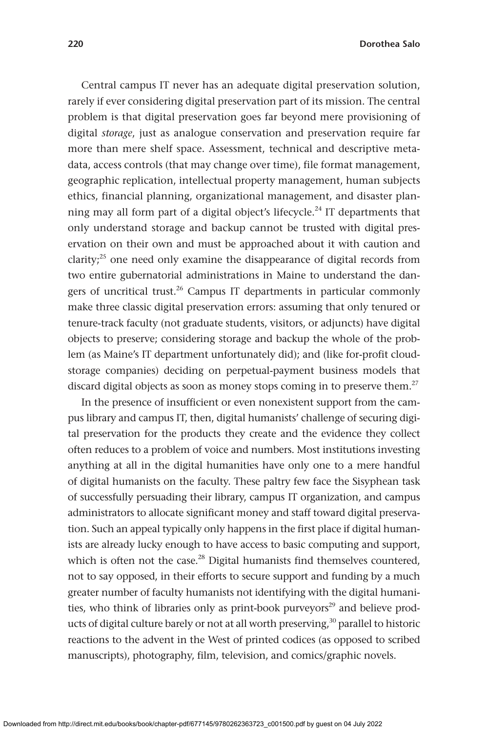Central campus IT never has an adequate digital preservation solution, rarely if ever considering digital preservation part of its mission. The central problem is that digital preservation goes far beyond mere provisioning of

digital *storage*, just as analogue conservation and preservation require far more than mere shelf space. Assessment, technical and descriptive metadata, access controls (that may change over time), file format management, geographic replication, intellectual property management, human subjects ethics, financial planning, organizational management, and disaster planning may all form part of a digital object's lifecycle.<sup>24</sup> IT departments that only understand storage and backup cannot be trusted with digital preservation on their own and must be approached about it with caution and clarity;<sup>25</sup> one need only examine the disappearance of digital records from two entire gubernatorial administrations in Maine to understand the dangers of uncritical trust.<sup>26</sup> Campus IT departments in particular commonly make three classic digital preservation errors: assuming that only tenured or tenure-track faculty (not graduate students, visitors, or adjuncts) have digital objects to preserve; considering storage and backup the whole of the problem (as Maine's IT department unfortunately did); and (like for-profit cloudstorage companies) deciding on perpetual-payment business models that discard digital objects as soon as money stops coming in to preserve them.<sup>27</sup>

In the presence of insufficient or even nonexistent support from the campus library and campus IT, then, digital humanists' challenge of securing digital preservation for the products they create and the evidence they collect often reduces to a problem of voice and numbers. Most institutions investing anything at all in the digital humanities have only one to a mere handful of digital humanists on the faculty. These paltry few face the Sisyphean task of successfully persuading their library, campus IT organization, and campus administrators to allocate significant money and staff toward digital preservation. Such an appeal typically only happens in the first place if digital humanists are already lucky enough to have access to basic computing and support, which is often not the case. $^{28}$  Digital humanists find themselves countered, not to say opposed, in their efforts to secure support and funding by a much greater number of faculty humanists not identifying with the digital humanities, who think of libraries only as print-book purveyors $^{29}$  and believe products of digital culture barely or not at all worth preserving, $30$  parallel to historic reactions to the advent in the West of printed codices (as opposed to scribed manuscripts), photography, film, television, and comics/graphic novels.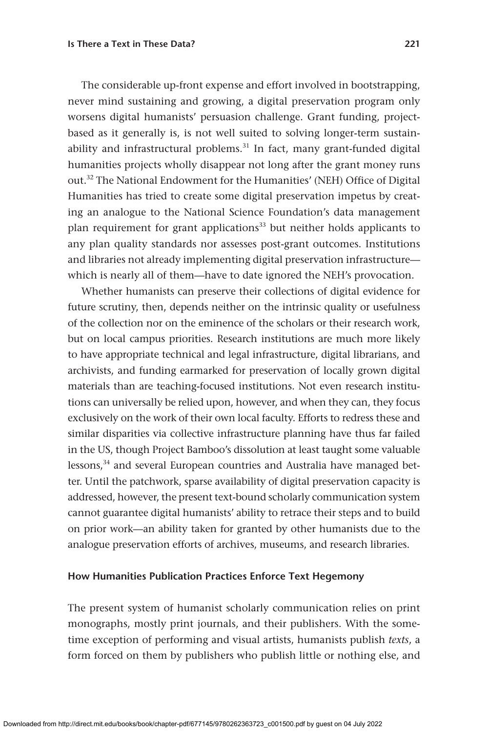The considerable up-front expense and effort involved in bootstrapping, never mind sustaining and growing, a digital preservation program only worsens digital humanists' persuasion challenge. Grant funding, projectbased as it generally is, is not well suited to solving longer-term sustainability and infrastructural problems. $31$  In fact, many grant-funded digital humanities projects wholly disappear not long after the grant money runs out.32 The National Endowment for the Humanities' (NEH) Office of Digital Humanities has tried to create some digital preservation impetus by creating an analogue to the National Science Foundation's data management plan requirement for grant applications<sup>33</sup> but neither holds applicants to any plan quality standards nor assesses post-grant outcomes. Institutions and libraries not already implementing digital preservation infrastructure which is nearly all of them—have to date ignored the NEH's provocation.

Whether humanists can preserve their collections of digital evidence for future scrutiny, then, depends neither on the intrinsic quality or usefulness of the collection nor on the eminence of the scholars or their research work, but on local campus priorities. Research institutions are much more likely to have appropriate technical and legal infrastructure, digital librarians, and archivists, and funding earmarked for preservation of locally grown digital materials than are teaching-focused institutions. Not even research institutions can universally be relied upon, however, and when they can, they focus exclusively on the work of their own local faculty. Efforts to redress these and similar disparities via collective infrastructure planning have thus far failed in the US, though Project Bamboo's dissolution at least taught some valuable lessons,<sup>34</sup> and several European countries and Australia have managed better. Until the patchwork, sparse availability of digital preservation capacity is addressed, however, the present text-bound scholarly communication system cannot guarantee digital humanists' ability to retrace their steps and to build on prior work—an ability taken for granted by other humanists due to the analogue preservation efforts of archives, museums, and research libraries.

#### **How Humanities Publication Practices Enforce Text Hegemony**

The present system of humanist scholarly communication relies on print monographs, mostly print journals, and their publishers. With the sometime exception of performing and visual artists, humanists publish *texts*, a form forced on them by publishers who publish little or nothing else, and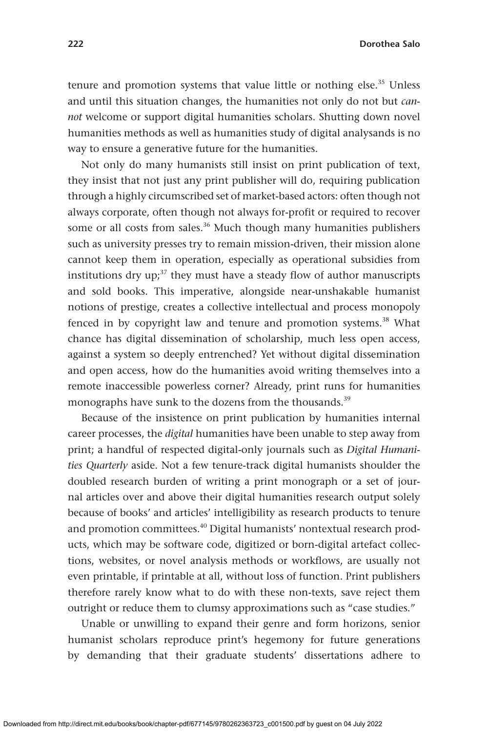tenure and promotion systems that value little or nothing else.<sup>35</sup> Unless and until this situation changes, the humanities not only do not but *cannot* welcome or support digital humanities scholars. Shutting down novel humanities methods as well as humanities study of digital analysands is no way to ensure a generative future for the humanities.

Not only do many humanists still insist on print publication of text, they insist that not just any print publisher will do, requiring publication through a highly circumscribed set of market-based actors: often though not always corporate, often though not always for-profit or required to recover some or all costs from sales.<sup>36</sup> Much though many humanities publishers such as university presses try to remain mission-driven, their mission alone cannot keep them in operation, especially as operational subsidies from institutions dry up; $37$  they must have a steady flow of author manuscripts and sold books. This imperative, alongside near-unshakable humanist notions of prestige, creates a collective intellectual and process monopoly fenced in by copyright law and tenure and promotion systems.<sup>38</sup> What chance has digital dissemination of scholarship, much less open access, against a system so deeply entrenched? Yet without digital dissemination and open access, how do the humanities avoid writing themselves into a remote inaccessible powerless corner? Already, print runs for humanities monographs have sunk to the dozens from the thousands.<sup>39</sup>

Because of the insistence on print publication by humanities internal career processes, the *digital* humanities have been unable to step away from print; a handful of respected digital-only journals such as *Digital Humanities Quarterly* aside. Not a few tenure-track digital humanists shoulder the doubled research burden of writing a print monograph or a set of journal articles over and above their digital humanities research output solely because of books' and articles' intelligibility as research products to tenure and promotion committees.<sup>40</sup> Digital humanists' nontextual research products, which may be software code, digitized or born-digital artefact collections, websites, or novel analysis methods or workflows, are usually not even printable, if printable at all, without loss of function. Print publishers therefore rarely know what to do with these non-texts, save reject them outright or reduce them to clumsy approximations such as "case studies."

Unable or unwilling to expand their genre and form horizons, senior humanist scholars reproduce print's hegemony for future generations by demanding that their graduate students' dissertations adhere to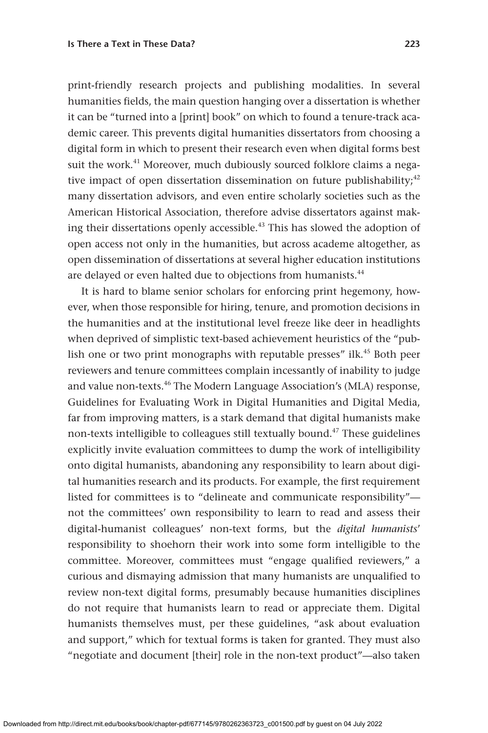print-friendly research projects and publishing modalities. In several humanities fields, the main question hanging over a dissertation is whether it can be "turned into a [print] book" on which to found a tenure-track academic career. This prevents digital humanities dissertators from choosing a digital form in which to present their research even when digital forms best suit the work.<sup>41</sup> Moreover, much dubiously sourced folklore claims a negative impact of open dissertation dissemination on future publishability;<sup>42</sup> many dissertation advisors, and even entire scholarly societies such as the American Historical Association, therefore advise dissertators against making their dissertations openly accessible.<sup>43</sup> This has slowed the adoption of open access not only in the humanities, but across academe altogether, as open dissemination of dissertations at several higher education institutions are delayed or even halted due to objections from humanists.<sup>44</sup>

It is hard to blame senior scholars for enforcing print hegemony, however, when those responsible for hiring, tenure, and promotion decisions in the humanities and at the institutional level freeze like deer in headlights when deprived of simplistic text-based achievement heuristics of the "publish one or two print monographs with reputable presses" ilk.<sup>45</sup> Both peer reviewers and tenure committees complain incessantly of inability to judge and value non-texts.<sup>46</sup> The Modern Language Association's (MLA) response, Guidelines for Evaluating Work in Digital Humanities and Digital Media, far from improving matters, is a stark demand that digital humanists make non-texts intelligible to colleagues still textually bound.<sup> $47$ </sup> These guidelines explicitly invite evaluation committees to dump the work of intelligibility onto digital humanists, abandoning any responsibility to learn about digital humanities research and its products. For example, the first requirement listed for committees is to "delineate and communicate responsibility" not the committees' own responsibility to learn to read and assess their digital-humanist colleagues' non-text forms, but the *digital humanists*' responsibility to shoehorn their work into some form intelligible to the committee. Moreover, committees must "engage qualified reviewers," a curious and dismaying admission that many humanists are unqualified to review non-text digital forms, presumably because humanities disciplines do not require that humanists learn to read or appreciate them. Digital humanists themselves must, per these guidelines, "ask about evaluation and support," which for textual forms is taken for granted. They must also "negotiate and document [their] role in the non-text product"—also taken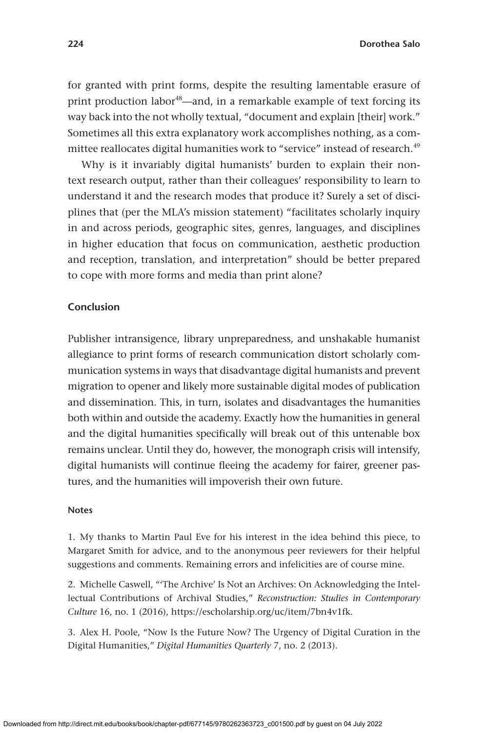for granted with print forms, despite the resulting lamentable erasure of print production labor<sup>48</sup>—and, in a remarkable example of text forcing its way back into the not wholly textual, "document and explain [their] work." Sometimes all this extra explanatory work accomplishes nothing, as a committee reallocates digital humanities work to "service" instead of research.<sup>49</sup>

Why is it invariably digital humanists' burden to explain their nontext research output, rather than their colleagues' responsibility to learn to understand it and the research modes that produce it? Surely a set of disciplines that (per the MLA's mission statement) "facilitates scholarly inquiry in and across periods, geographic sites, genres, languages, and disciplines in higher education that focus on communication, aesthetic production and reception, translation, and interpretation" should be better prepared to cope with more forms and media than print alone?

#### **Conclusion**

Publisher intransigence, library unpreparedness, and unshakable humanist allegiance to print forms of research communication distort scholarly communication systems in ways that disadvantage digital humanists and prevent migration to opener and likely more sustainable digital modes of publication and dissemination. This, in turn, isolates and disadvantages the humanities both within and outside the academy. Exactly how the humanities in general and the digital humanities specifically will break out of this untenable box remains unclear. Until they do, however, the monograph crisis will intensify, digital humanists will continue fleeing the academy for fairer, greener pastures, and the humanities will impoverish their own future.

#### **Notes**

1. My thanks to Martin Paul Eve for his interest in the idea behind this piece, to Margaret Smith for advice, and to the anonymous peer reviewers for their helpful suggestions and comments. Remaining errors and infelicities are of course mine.

2. Michelle Caswell, "'The Archive' Is Not an Archives: On Acknowledging the Intellectual Contributions of Archival Studies," *Reconstruction: Studies in Contemporary Culture* 16, no. 1 (2016),<https://escholarship.org/uc/item/7bn4v1fk>.

3. Alex H. Poole, "Now Is the Future Now? The Urgency of Digital Curation in the Digital Humanities," *Digital Humanities Quarterly* 7, no. 2 (2013).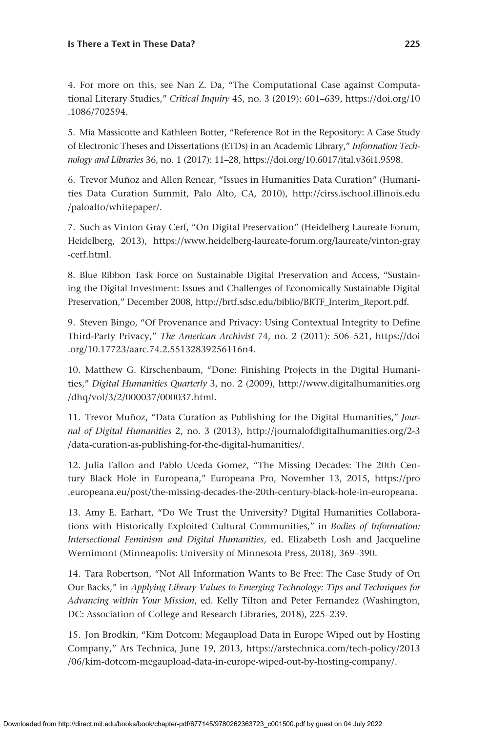4. For more on this, see Nan Z. Da, "The Computational Case against Computational Literary Studies," *Critical Inquiry* 45, no. 3 (2019): 601–639, [https://doi.org/10](https://doi.org/10.1086/702594) [.1086/702594](https://doi.org/10.1086/702594).

5. Mia Massicotte and Kathleen Botter, "Reference Rot in the Repository: A Case Study of Electronic Theses and Dissertations (ETDs) in an Academic Library," *Information Technology and Libraries* 36, no. 1 (2017): 11–28, [https://doi.org/10.6017/ital.v36i1.9598.](https://doi.org/10.6017/ital.v36i1.9598)

6. Trevor Muñoz and Allen Renear, "Issues in Humanities Data Curation" (Humanities Data Curation Summit, Palo Alto, CA, 2010), [http://cirss.ischool.illinois.edu](http://cirss.ischool.illinois.edu/paloalto/whitepaper/) [/paloalto/whitepaper/](http://cirss.ischool.illinois.edu/paloalto/whitepaper/).

7. Such as Vinton Gray Cerf, "On Digital Preservation" (Heidelberg Laureate Forum, Heidelberg, 2013), [https://www.heidelberg-laureate-forum.org/laureate/vinton-gray](https://www.heidelberg-laureate-forum.org/laureate/vinton-gray-cerf.html) [-cerf.html](https://www.heidelberg-laureate-forum.org/laureate/vinton-gray-cerf.html).

8. Blue Ribbon Task Force on Sustainable Digital Preservation and Access, "Sustaining the Digital Investment: Issues and Challenges of Economically Sustainable Digital Preservation," December 2008, [http://brtf.sdsc.edu/biblio/BRTF\\_Interim\\_Report.pdf](http://brtf.sdsc.edu/biblio/BRTF_Interim_Report.pdf).

9. Steven Bingo, "Of Provenance and Privacy: Using Contextual Integrity to Define Third-Party Privacy," *The American Archivist* 74, no. 2 (2011): 506–521, [https://doi](https://doi.org/10.17723/aarc.74.2.55132839256116n4) [.org/10.17723/aarc.74.2.55132839256116n4](https://doi.org/10.17723/aarc.74.2.55132839256116n4).

10. Matthew G. Kirschenbaum, "Done: Finishing Projects in the Digital Humanities," *Digital Humanities Quarterly* 3, no. 2 (2009), [http://www.digitalhumanities.org](http://www.digitalhumanities.org/dhq/vol/3/2/000037/000037.html) [/dhq/vol/3/2/000037/000037.html.](http://www.digitalhumanities.org/dhq/vol/3/2/000037/000037.html)

11. Trevor Muñoz, "Data Curation as Publishing for the Digital Humanities," *Journal of Digital Humanities* 2, no. 3 (2013), [http://journalofdigitalhumanities.org/2-3](http://journalofdigitalhumanities.org/2-3/data-curation-as-publishing-for-the-digital-humanities/) [/data-curation-as-publishing-for-the-digital-humanities/](http://journalofdigitalhumanities.org/2-3/data-curation-as-publishing-for-the-digital-humanities/).

12. Julia Fallon and Pablo Uceda Gomez, "The Missing Decades: The 20th Century Black Hole in Europeana," Europeana Pro, November 13, 2015, [https://pro](https://pro.europeana.eu/post/the-missing-decades-the-20th-century-black-hole-in-europeana) [.europeana.eu/post/the-missing-decades-the-20th-century-black-hole-in-europeana](https://pro.europeana.eu/post/the-missing-decades-the-20th-century-black-hole-in-europeana).

13. Amy E. Earhart, "Do We Trust the University? Digital Humanities Collaborations with Historically Exploited Cultural Communities," in *Bodies of Information: Intersectional Feminism and Digital Humanities*, ed. Elizabeth Losh and Jacqueline Wernimont (Minneapolis: University of Minnesota Press, 2018), 369–390.

14. Tara Robertson, "Not All Information Wants to Be Free: The Case Study of On Our Backs," in *Applying Library Values to Emerging Technology: Tips and Techniques for Advancing within Your Mission*, ed. Kelly Tilton and Peter Fernandez (Washington, DC: Association of College and Research Libraries, 2018), 225–239.

15. Jon Brodkin, "Kim Dotcom: Megaupload Data in Europe Wiped out by Hosting Company," Ars Technica, June 19, 2013, [https://arstechnica.com/tech-policy/2013](https://arstechnica.com/tech-policy/2013/06/kim-dotcom-megaupload-data-in-europe-wiped-out-by-hosting-company/) [/06/kim-dotcom-megaupload-data-in-europe-wiped-out-by-hosting-company/](https://arstechnica.com/tech-policy/2013/06/kim-dotcom-megaupload-data-in-europe-wiped-out-by-hosting-company/).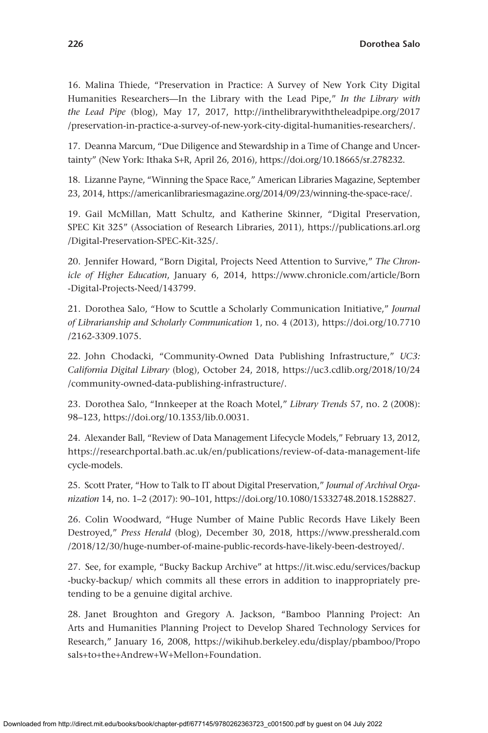16. Malina Thiede, "Preservation in Practice: A Survey of New York City Digital Humanities Researchers—In the Library with the Lead Pipe," *In the Library with the Lead Pipe* (blog), May 17, 2017, [http://inthelibrarywiththeleadpipe.org/2017](http://inthelibrarywiththeleadpipe.org/2017/preservation-in-practice-a-survey-of-new-york-city-digital-humanities-researchers/) [/preservation-in-practice-a-survey-of-new-york-city-digital-humanities-researchers/.](http://inthelibrarywiththeleadpipe.org/2017/preservation-in-practice-a-survey-of-new-york-city-digital-humanities-researchers/)

17. Deanna Marcum, "Due Diligence and Stewardship in a Time of Change and Uncertainty" (New York: Ithaka S+R, April 26, 2016), <https://doi.org/10.18665/sr.278232>.

18. Lizanne Payne, "Winning the Space Race," American Libraries Magazine, September 23, 2014, [https://americanlibrariesmagazine.org/2014/09/23/winning-the-space-race/.](https://americanlibrariesmagazine.org/2014/09/23/winning-the-space-race/)

19. Gail McMillan, Matt Schultz, and Katherine Skinner, "Digital Preservation, SPEC Kit 325" (Association of Research Libraries, 2011), [https://publications.arl.org](https://publications.arl.org/Digital-Preservation-SPEC-Kit-325/) [/Digital-Preservation-SPEC-Kit-325/.](https://publications.arl.org/Digital-Preservation-SPEC-Kit-325/)

20. Jennifer Howard, "Born Digital, Projects Need Attention to Survive," *The Chronicle of Higher Education*, January 6, 2014, [https://www.chronicle.com/article/Born](https://www.chronicle.com/article/Born-Digital-Projects-Need/143799) [-Digital-Projects-Need/143799](https://www.chronicle.com/article/Born-Digital-Projects-Need/143799).

21. Dorothea Salo, "How to Scuttle a Scholarly Communication Initiative," *Journal of Librarianship and Scholarly Communication* 1, no. 4 (2013), [https://doi.org/10.7710](https://doi.org/10.7710/2162-3309.1075) [/2162-3309.1075.](https://doi.org/10.7710/2162-3309.1075)

22. John Chodacki, "Community-Owned Data Publishing Infrastructure," *UC3: California Digital Library* (blog), October 24, 2018, [https://uc3.cdlib.org/2018/10/24](https://uc3.cdlib.org/2018/10/24/community-owned-data-publishing-infrastructure/) [/community-owned-data-publishing-infrastructure/.](https://uc3.cdlib.org/2018/10/24/community-owned-data-publishing-infrastructure/)

23. Dorothea Salo, "Innkeeper at the Roach Motel," *Library Trends* 57, no. 2 (2008): 98–123,<https://doi.org/10.1353/lib.0.0031>.

24. Alexander Ball, "Review of Data Management Lifecycle Models," February 13, 2012, [https://researchportal.bath.ac.uk/en/publications/review-of-data-management-life](https://researchportal.bath.ac.uk/en/publications/review-of-data-management-lifecycle-models) [cycle-models.](https://researchportal.bath.ac.uk/en/publications/review-of-data-management-lifecycle-models)

25. Scott Prater, "How to Talk to IT about Digital Preservation," *Journal of Archival Organization* 14, no. 1–2 (2017): 90–101, [https://doi.org/10.1080/15332748.2018.1528827.](https://doi.org/10.1080/15332748.2018.1528827)

26. Colin Woodward, "Huge Number of Maine Public Records Have Likely Been Destroyed," *Press Herald* (blog), December 30, 2018, [https://www.pressherald.com](https://www.pressherald.com/2018/12/30/huge-number-of-maine-public-records-have-likely-been-destroyed/) [/2018/12/30/huge-number-of-maine-public-records-have-likely-been-destroyed/.](https://www.pressherald.com/2018/12/30/huge-number-of-maine-public-records-have-likely-been-destroyed/)

27. See, for example, "Bucky Backup Archive" at [https://it.wisc.edu/services/backup](https://it.wisc.edu/services/backup-bucky-backup/) [-bucky-backup/](https://it.wisc.edu/services/backup-bucky-backup/) which commits all these errors in addition to inappropriately pretending to be a genuine digital archive.

28. Janet Broughton and Gregory A. Jackson, "Bamboo Planning Project: An Arts and Humanities Planning Project to Develop Shared Technology Services for Research," January 16, 2008, [https://wikihub.berkeley.edu/display/pbamboo/Propo](https://wikihub.berkeley.edu/display/pbamboo/Proposals+to+the+Andrew+W+Mellon+Foundation) sals+to+the+Andrew+W+Mellon+[Foundation](https://wikihub.berkeley.edu/display/pbamboo/Proposals+to+the+Andrew+W+Mellon+Foundation).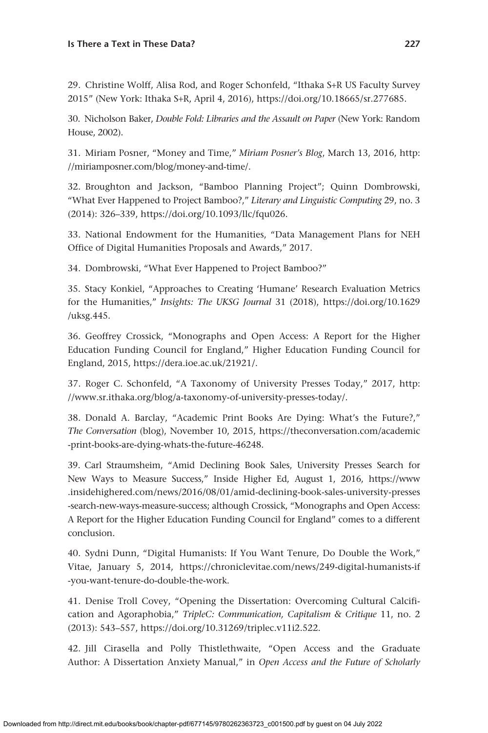29. Christine Wolff, Alisa Rod, and Roger Schonfeld, "Ithaka S+R US Faculty Survey 2015" (New York: Ithaka S+R, April 4, 2016), [https://doi.org/10.18665/sr.277685.](https://doi.org/10.18665/sr.277685)

30. Nicholson Baker, *Double Fold: Libraries and the Assault on Paper* (New York: Random House, 2002).

31. Miriam Posner, "Money and Time," *Miriam Posner's Blog*, March 13, 2016, [http:](http://miriamposner.com/blog/money-and-time/) [//miriamposner.com/blog/money-and-time/.](http://miriamposner.com/blog/money-and-time/)

32. Broughton and Jackson, "Bamboo Planning Project"; Quinn Dombrowski, "What Ever Happened to Project Bamboo?," *Literary and Linguistic Computing* 29, no. 3 (2014): 326–339, [https://doi.org/10.1093/llc/fqu026.](https://doi.org/10.1093/llc/fqu026)

33. National Endowment for the Humanities, "Data Management Plans for NEH Office of Digital Humanities Proposals and Awards," 2017.

34. Dombrowski, "What Ever Happened to Project Bamboo?"

35. Stacy Konkiel, "Approaches to Creating 'Humane' Research Evaluation Metrics for the Humanities," *Insights: The UKSG Journal* 31 (2018), [https://doi.org/10.1629](https://doi.org/10.1629/uksg.445) [/uksg.445.](https://doi.org/10.1629/uksg.445)

36. Geoffrey Crossick, "Monographs and Open Access: A Report for the Higher Education Funding Council for England," Higher Education Funding Council for England, 2015, [https://dera.ioe.ac.uk/21921/.](https://dera.ioe.ac.uk/21921/)

37. Roger C. Schonfeld, "A Taxonomy of University Presses Today," 2017, [http:](http://www.sr.ithaka.org/blog/a-taxonomy-of-university-presses-today/) [//www.sr.ithaka.org/blog/a-taxonomy-of-university-presses-today/.](http://www.sr.ithaka.org/blog/a-taxonomy-of-university-presses-today/)

38. Donald A. Barclay, "Academic Print Books Are Dying: What's the Future?," *The Conversation* (blog), November 10, 2015, [https://theconversation.com/academic](https://theconversation.com/academic-print-books-are-dying-whats-the-future-46248) [-print-books-are-dying-whats-the-future-46248](https://theconversation.com/academic-print-books-are-dying-whats-the-future-46248).

39. Carl Straumsheim, "Amid Declining Book Sales, University Presses Search for New Ways to Measure Success," Inside Higher Ed, August 1, 2016, [https://www](https://www.insidehighered.com/news/2016/08/01/amid-declining-book-sales-university-presses-search-new-ways-measure-success) [.insidehighered.com/news/2016/08/01/amid-declining-book-sales-university-presses](https://www.insidehighered.com/news/2016/08/01/amid-declining-book-sales-university-presses-search-new-ways-measure-success) [-search-new-ways-measure-success](https://www.insidehighered.com/news/2016/08/01/amid-declining-book-sales-university-presses-search-new-ways-measure-success); although Crossick, "Monographs and Open Access: A Report for the Higher Education Funding Council for England" comes to a different conclusion.

40. Sydni Dunn, "Digital Humanists: If You Want Tenure, Do Double the Work," Vitae, January 5, 2014, [https://chroniclevitae.com/news/249-digital-humanists-if](https://chroniclevitae.com/news/249-digital-humanists-if-you-want-tenure-do-double-the-work) [-you-want-tenure-do-double-the-work.](https://chroniclevitae.com/news/249-digital-humanists-if-you-want-tenure-do-double-the-work)

41. Denise Troll Covey, "Opening the Dissertation: Overcoming Cultural Calcification and Agoraphobia," *TripleC: Communication, Capitalism & Critique* 11, no. 2 (2013): 543–557, [https://doi.org/10.31269/triplec.v11i2.522.](https://doi.org/10.31269/triplec.v11i2.522)

42. Jill Cirasella and Polly Thistlethwaite, "Open Access and the Graduate Author: A Dissertation Anxiety Manual," in *Open Access and the Future of Scholarly*